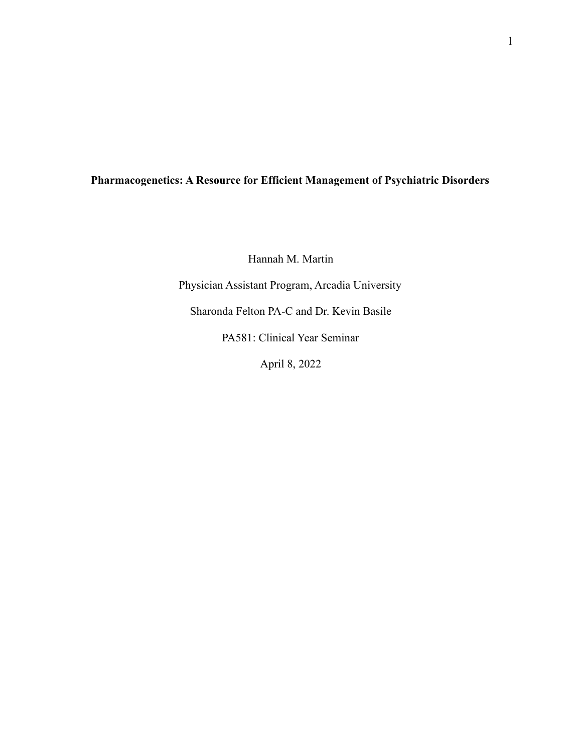## **Pharmacogenetics: A Resource for Efficient Management of Psychiatric Disorders**

Hannah M. Martin

Physician Assistant Program, Arcadia University

Sharonda Felton PA-C and Dr. Kevin Basile

PA581: Clinical Year Seminar

April 8, 2022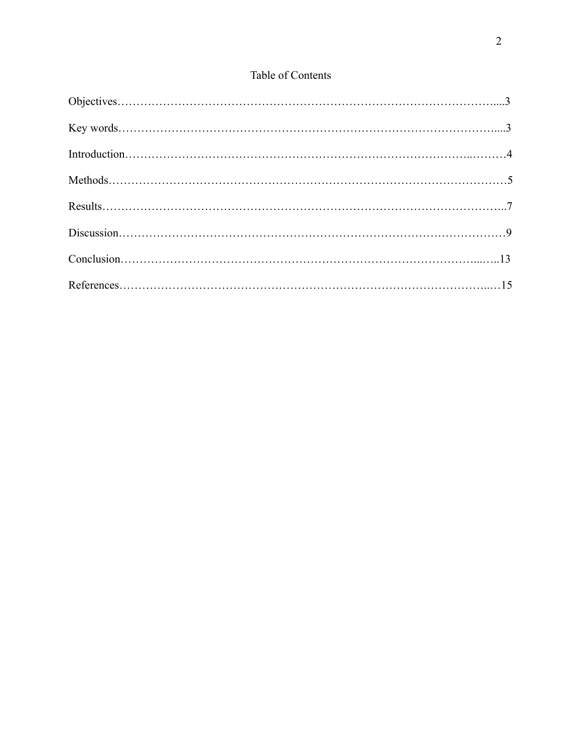# Table of Contents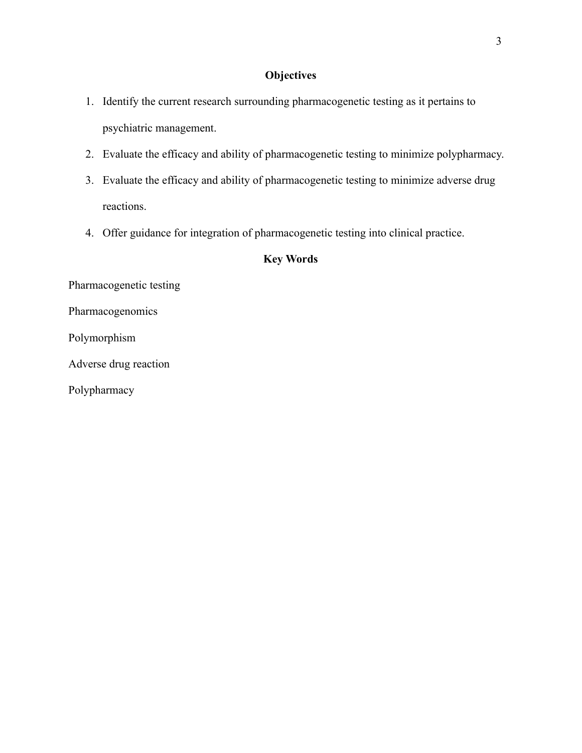## **Objectives**

- 1. Identify the current research surrounding pharmacogenetic testing as it pertains to psychiatric management.
- 2. Evaluate the efficacy and ability of pharmacogenetic testing to minimize polypharmacy.
- 3. Evaluate the efficacy and ability of pharmacogenetic testing to minimize adverse drug reactions.
- 4. Offer guidance for integration of pharmacogenetic testing into clinical practice.

### **Key Words**

Pharmacogenetic testing

Pharmacogenomics

Polymorphism

Adverse drug reaction

Polypharmacy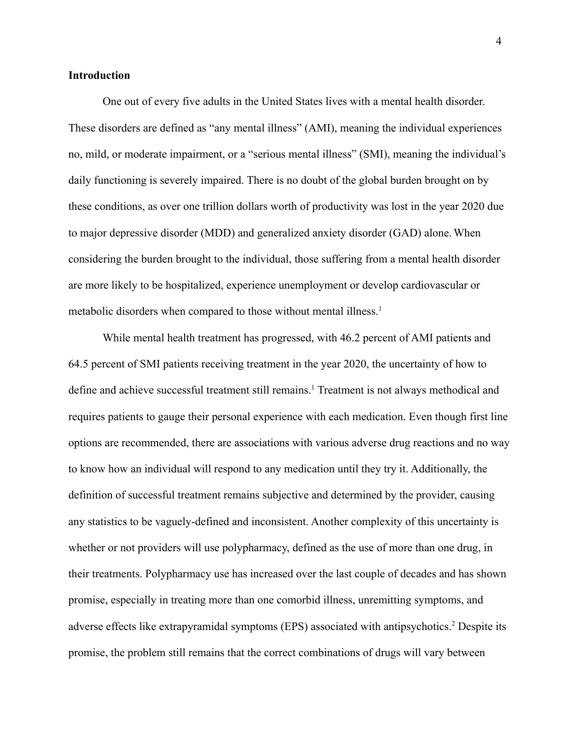#### **Introduction**

One out of every five adults in the United States lives with a mental health disorder. These disorders are defined as "any mental illness" (AMI), meaning the individual experiences no, mild, or moderate impairment, or a "serious mental illness" (SMI), meaning the individual's daily functioning is severely impaired. There is no doubt of the global burden brought on by these conditions, as over one trillion dollars worth of productivity was lost in the year 2020 due to major depressive disorder (MDD) and generalized anxiety disorder (GAD) alone. When considering the burden brought to the individual, those suffering from a mental health disorder are more likely to be hospitalized, experience unemployment or develop cardiovascular or metabolic disorders when compared to those without mental illness.<sup>1</sup>

While mental health treatment has progressed, with 46.2 percent of AMI patients and 64.5 percent of SMI patients receiving treatment in the year 2020, the uncertainty of how to define and achieve successful treatment still remains.<sup>1</sup> Treatment is not always methodical and requires patients to gauge their personal experience with each medication. Even though first line options are recommended, there are associations with various adverse drug reactions and no way to know how an individual will respond to any medication until they try it. Additionally, the definition of successful treatment remains subjective and determined by the provider, causing any statistics to be vaguely-defined and inconsistent. Another complexity of this uncertainty is whether or not providers will use polypharmacy, defined as the use of more than one drug, in their treatments. Polypharmacy use has increased over the last couple of decades and has shown promise, especially in treating more than one comorbid illness, unremitting symptoms, and adverse effects like extrapyramidal symptoms (EPS) associated with antipsychotics.<sup>2</sup> Despite its promise, the problem still remains that the correct combinations of drugs will vary between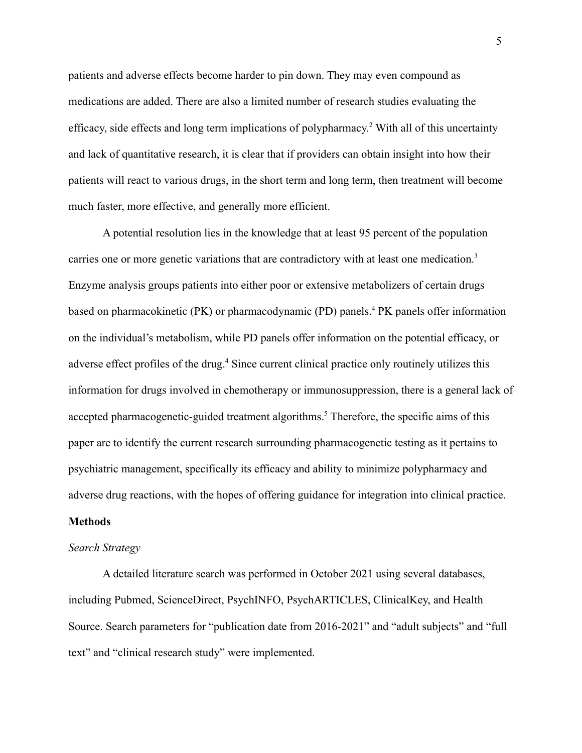patients and adverse effects become harder to pin down. They may even compound as medications are added. There are also a limited number of research studies evaluating the efficacy, side effects and long term implications of polypharmacy. <sup>2</sup> With all of this uncertainty and lack of quantitative research, it is clear that if providers can obtain insight into how their patients will react to various drugs, in the short term and long term, then treatment will become much faster, more effective, and generally more efficient.

A potential resolution lies in the knowledge that at least 95 percent of the population carries one or more genetic variations that are contradictory with at least one medication.<sup>3</sup> Enzyme analysis groups patients into either poor or extensive metabolizers of certain drugs based on pharmacokinetic (PK) or pharmacodynamic (PD) panels.<sup>4</sup> PK panels offer information on the individual's metabolism, while PD panels offer information on the potential efficacy, or adverse effect profiles of the drug.<sup>4</sup> Since current clinical practice only routinely utilizes this information for drugs involved in chemotherapy or immunosuppression, there is a general lack of accepted pharmacogenetic-guided treatment algorithms.<sup>5</sup> Therefore, the specific aims of this paper are to identify the current research surrounding pharmacogenetic testing as it pertains to psychiatric management, specifically its efficacy and ability to minimize polypharmacy and adverse drug reactions, with the hopes of offering guidance for integration into clinical practice.

#### **Methods**

#### *Search Strategy*

A detailed literature search was performed in October 2021 using several databases, including Pubmed, ScienceDirect, PsychINFO, PsychARTICLES, ClinicalKey, and Health Source. Search parameters for "publication date from 2016-2021" and "adult subjects" and "full text" and "clinical research study" were implemented.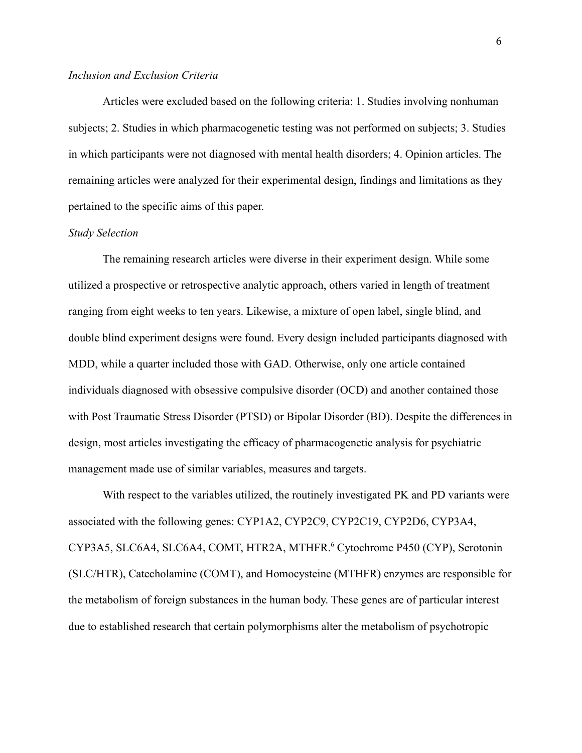#### *Inclusion and Exclusion Criteria*

Articles were excluded based on the following criteria: 1. Studies involving nonhuman subjects; 2. Studies in which pharmacogenetic testing was not performed on subjects; 3. Studies in which participants were not diagnosed with mental health disorders; 4. Opinion articles. The remaining articles were analyzed for their experimental design, findings and limitations as they pertained to the specific aims of this paper.

#### *Study Selection*

The remaining research articles were diverse in their experiment design. While some utilized a prospective or retrospective analytic approach, others varied in length of treatment ranging from eight weeks to ten years. Likewise, a mixture of open label, single blind, and double blind experiment designs were found. Every design included participants diagnosed with MDD, while a quarter included those with GAD. Otherwise, only one article contained individuals diagnosed with obsessive compulsive disorder (OCD) and another contained those with Post Traumatic Stress Disorder (PTSD) or Bipolar Disorder (BD). Despite the differences in design, most articles investigating the efficacy of pharmacogenetic analysis for psychiatric management made use of similar variables, measures and targets.

With respect to the variables utilized, the routinely investigated PK and PD variants were associated with the following genes: CYP1A2, CYP2C9, CYP2C19, CYP2D6, CYP3A4, CYP3A5, SLC6A4, SLC6A4, COMT, HTR2A, MTHFR.<sup>6</sup> Cytochrome P450 (CYP), Serotonin (SLC/HTR), Catecholamine (COMT), and Homocysteine (MTHFR) enzymes are responsible for the metabolism of foreign substances in the human body. These genes are of particular interest due to established research that certain polymorphisms alter the metabolism of psychotropic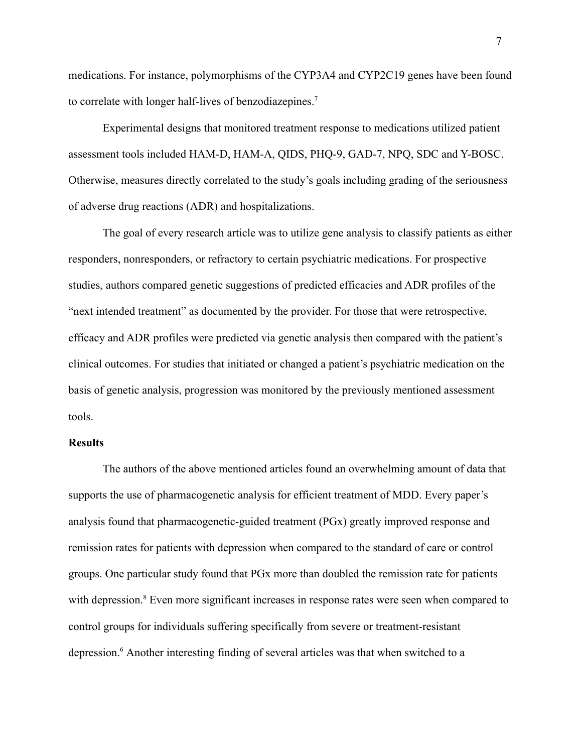medications. For instance, polymorphisms of the CYP3A4 and CYP2C19 genes have been found to correlate with longer half-lives of benzodiazepines.<sup>7</sup>

Experimental designs that monitored treatment response to medications utilized patient assessment tools included HAM-D, HAM-A, QIDS, PHQ-9, GAD-7, NPQ, SDC and Y-BOSC. Otherwise, measures directly correlated to the study's goals including grading of the seriousness of adverse drug reactions (ADR) and hospitalizations.

The goal of every research article was to utilize gene analysis to classify patients as either responders, nonresponders, or refractory to certain psychiatric medications. For prospective studies, authors compared genetic suggestions of predicted efficacies and ADR profiles of the "next intended treatment" as documented by the provider. For those that were retrospective, efficacy and ADR profiles were predicted via genetic analysis then compared with the patient's clinical outcomes. For studies that initiated or changed a patient's psychiatric medication on the basis of genetic analysis, progression was monitored by the previously mentioned assessment tools.

#### **Results**

The authors of the above mentioned articles found an overwhelming amount of data that supports the use of pharmacogenetic analysis for efficient treatment of MDD. Every paper's analysis found that pharmacogenetic-guided treatment (PGx) greatly improved response and remission rates for patients with depression when compared to the standard of care or control groups. One particular study found that PGx more than doubled the remission rate for patients with depression.<sup>8</sup> Even more significant increases in response rates were seen when compared to control groups for individuals suffering specifically from severe or treatment-resistant depression.<sup>6</sup> Another interesting finding of several articles was that when switched to a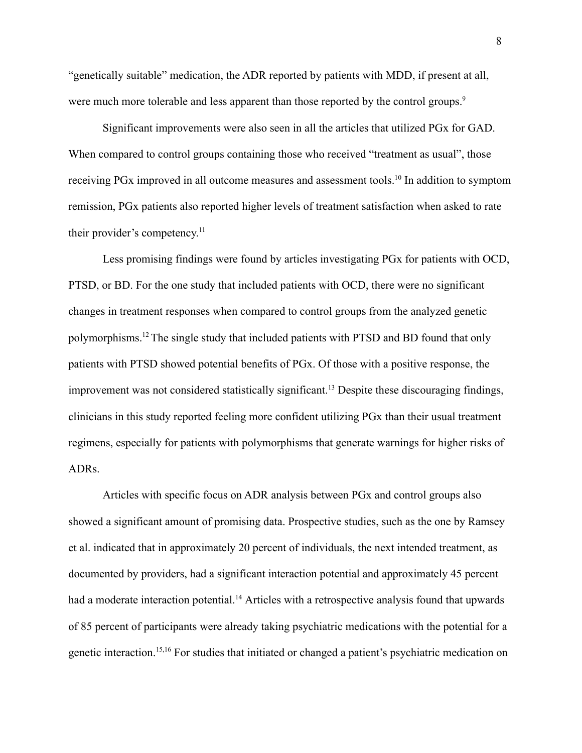"genetically suitable" medication, the ADR reported by patients with MDD, if present at all, were much more tolerable and less apparent than those reported by the control groups.<sup>9</sup>

Significant improvements were also seen in all the articles that utilized PGx for GAD. When compared to control groups containing those who received "treatment as usual", those receiving PGx improved in all outcome measures and assessment tools.<sup>10</sup> In addition to symptom remission, PGx patients also reported higher levels of treatment satisfaction when asked to rate their provider's competency. 11

Less promising findings were found by articles investigating PGx for patients with OCD, PTSD, or BD. For the one study that included patients with OCD, there were no significant changes in treatment responses when compared to control groups from the analyzed genetic polymorphisms.<sup>12</sup>The single study that included patients with PTSD and BD found that only patients with PTSD showed potential benefits of PGx. Of those with a positive response, the improvement was not considered statistically significant.<sup>13</sup> Despite these discouraging findings, clinicians in this study reported feeling more confident utilizing PGx than their usual treatment regimens, especially for patients with polymorphisms that generate warnings for higher risks of ADRs.

Articles with specific focus on ADR analysis between PGx and control groups also showed a significant amount of promising data. Prospective studies, such as the one by Ramsey et al. indicated that in approximately 20 percent of individuals, the next intended treatment, as documented by providers, had a significant interaction potential and approximately 45 percent had a moderate interaction potential.<sup>14</sup> Articles with a retrospective analysis found that upwards of 85 percent of participants were already taking psychiatric medications with the potential for a genetic interaction.15,16 For studies that initiated or changed a patient's psychiatric medication on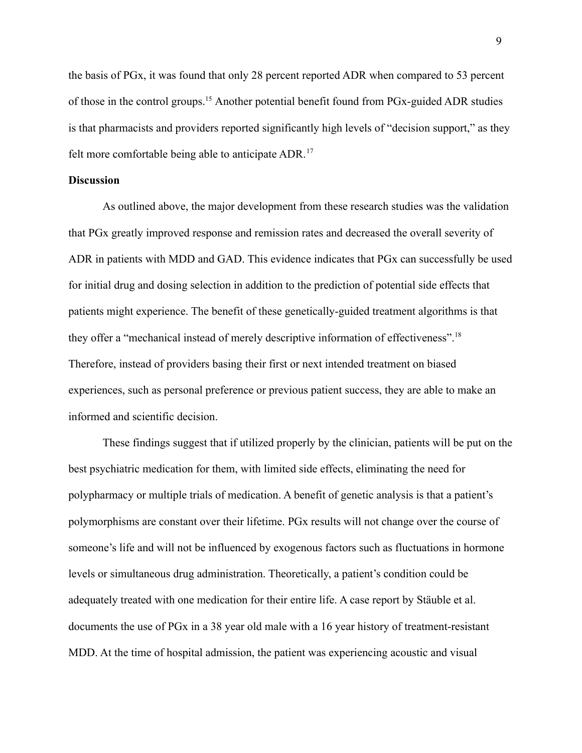the basis of PGx, it was found that only 28 percent reported ADR when compared to 53 percent of those in the control groups.<sup>15</sup> Another potential benefit found from PGx-guided ADR studies is that pharmacists and providers reported significantly high levels of "decision support," as they felt more comfortable being able to anticipate ADR.<sup>17</sup>

#### **Discussion**

As outlined above, the major development from these research studies was the validation that PGx greatly improved response and remission rates and decreased the overall severity of ADR in patients with MDD and GAD. This evidence indicates that PGx can successfully be used for initial drug and dosing selection in addition to the prediction of potential side effects that patients might experience. The benefit of these genetically-guided treatment algorithms is that they offer a "mechanical instead of merely descriptive information of effectiveness".<sup>18</sup> Therefore, instead of providers basing their first or next intended treatment on biased experiences, such as personal preference or previous patient success, they are able to make an informed and scientific decision.

These findings suggest that if utilized properly by the clinician, patients will be put on the best psychiatric medication for them, with limited side effects, eliminating the need for polypharmacy or multiple trials of medication. A benefit of genetic analysis is that a patient's polymorphisms are constant over their lifetime. PGx results will not change over the course of someone's life and will not be influenced by exogenous factors such as fluctuations in hormone levels or simultaneous drug administration. Theoretically, a patient's condition could be adequately treated with one medication for their entire life. A case report by Stäuble et al. documents the use of PGx in a 38 year old male with a 16 year history of treatment-resistant MDD. At the time of hospital admission, the patient was experiencing acoustic and visual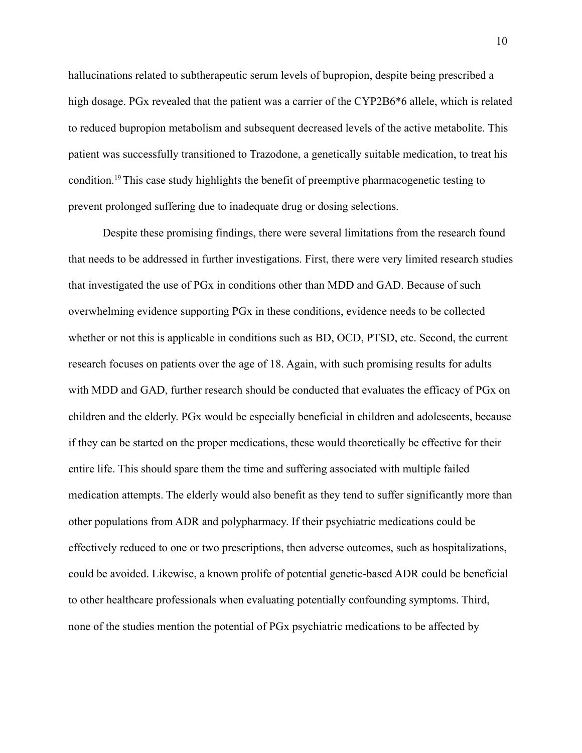hallucinations related to subtherapeutic serum levels of bupropion, despite being prescribed a high dosage. PGx revealed that the patient was a carrier of the CYP2B6<sup>\*6</sup> allele, which is related to reduced bupropion metabolism and subsequent decreased levels of the active metabolite. This patient was successfully transitioned to Trazodone, a genetically suitable medication, to treat his condition.<sup>19</sup>This case study highlights the benefit of preemptive pharmacogenetic testing to prevent prolonged suffering due to inadequate drug or dosing selections.

Despite these promising findings, there were several limitations from the research found that needs to be addressed in further investigations. First, there were very limited research studies that investigated the use of PGx in conditions other than MDD and GAD. Because of such overwhelming evidence supporting PGx in these conditions, evidence needs to be collected whether or not this is applicable in conditions such as BD, OCD, PTSD, etc. Second, the current research focuses on patients over the age of 18. Again, with such promising results for adults with MDD and GAD, further research should be conducted that evaluates the efficacy of PGx on children and the elderly. PGx would be especially beneficial in children and adolescents, because if they can be started on the proper medications, these would theoretically be effective for their entire life. This should spare them the time and suffering associated with multiple failed medication attempts. The elderly would also benefit as they tend to suffer significantly more than other populations from ADR and polypharmacy. If their psychiatric medications could be effectively reduced to one or two prescriptions, then adverse outcomes, such as hospitalizations, could be avoided. Likewise, a known prolife of potential genetic-based ADR could be beneficial to other healthcare professionals when evaluating potentially confounding symptoms. Third, none of the studies mention the potential of PGx psychiatric medications to be affected by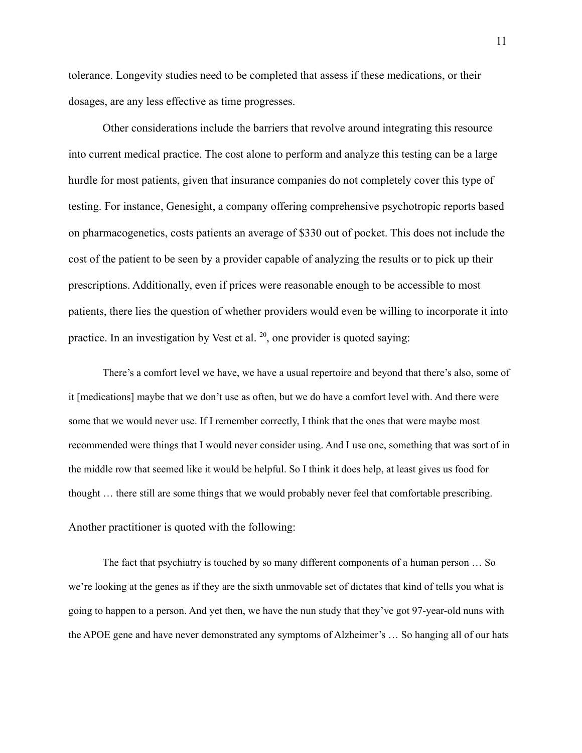tolerance. Longevity studies need to be completed that assess if these medications, or their dosages, are any less effective as time progresses.

Other considerations include the barriers that revolve around integrating this resource into current medical practice. The cost alone to perform and analyze this testing can be a large hurdle for most patients, given that insurance companies do not completely cover this type of testing. For instance, Genesight, a company offering comprehensive psychotropic reports based on pharmacogenetics, costs patients an average of \$330 out of pocket. This does not include the cost of the patient to be seen by a provider capable of analyzing the results or to pick up their prescriptions. Additionally, even if prices were reasonable enough to be accessible to most patients, there lies the question of whether providers would even be willing to incorporate it into practice. In an investigation by Vest et al.  $20$ , one provider is quoted saying:

There's a comfort level we have, we have a usual repertoire and beyond that there's also, some of it [medications] maybe that we don't use as often, but we do have a comfort level with. And there were some that we would never use. If I remember correctly, I think that the ones that were maybe most recommended were things that I would never consider using. And I use one, something that was sort of in the middle row that seemed like it would be helpful. So I think it does help, at least gives us food for thought … there still are some things that we would probably never feel that comfortable prescribing.

#### Another practitioner is quoted with the following:

The fact that psychiatry is touched by so many different components of a human person … So we're looking at the genes as if they are the sixth unmovable set of dictates that kind of tells you what is going to happen to a person. And yet then, we have the nun study that they've got 97-year-old nuns with the APOE gene and have never demonstrated any symptoms of Alzheimer's … So hanging all of our hats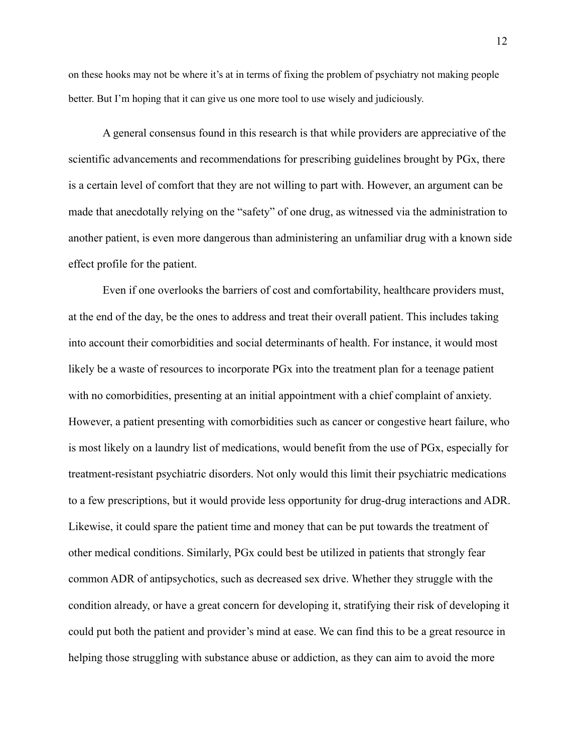on these hooks may not be where it's at in terms of fixing the problem of psychiatry not making people better. But I'm hoping that it can give us one more tool to use wisely and judiciously.

A general consensus found in this research is that while providers are appreciative of the scientific advancements and recommendations for prescribing guidelines brought by PGx, there is a certain level of comfort that they are not willing to part with. However, an argument can be made that anecdotally relying on the "safety" of one drug, as witnessed via the administration to another patient, is even more dangerous than administering an unfamiliar drug with a known side effect profile for the patient.

Even if one overlooks the barriers of cost and comfortability, healthcare providers must, at the end of the day, be the ones to address and treat their overall patient. This includes taking into account their comorbidities and social determinants of health. For instance, it would most likely be a waste of resources to incorporate PGx into the treatment plan for a teenage patient with no comorbidities, presenting at an initial appointment with a chief complaint of anxiety. However, a patient presenting with comorbidities such as cancer or congestive heart failure, who is most likely on a laundry list of medications, would benefit from the use of PGx, especially for treatment-resistant psychiatric disorders. Not only would this limit their psychiatric medications to a few prescriptions, but it would provide less opportunity for drug-drug interactions and ADR. Likewise, it could spare the patient time and money that can be put towards the treatment of other medical conditions. Similarly, PGx could best be utilized in patients that strongly fear common ADR of antipsychotics, such as decreased sex drive. Whether they struggle with the condition already, or have a great concern for developing it, stratifying their risk of developing it could put both the patient and provider's mind at ease. We can find this to be a great resource in helping those struggling with substance abuse or addiction, as they can aim to avoid the more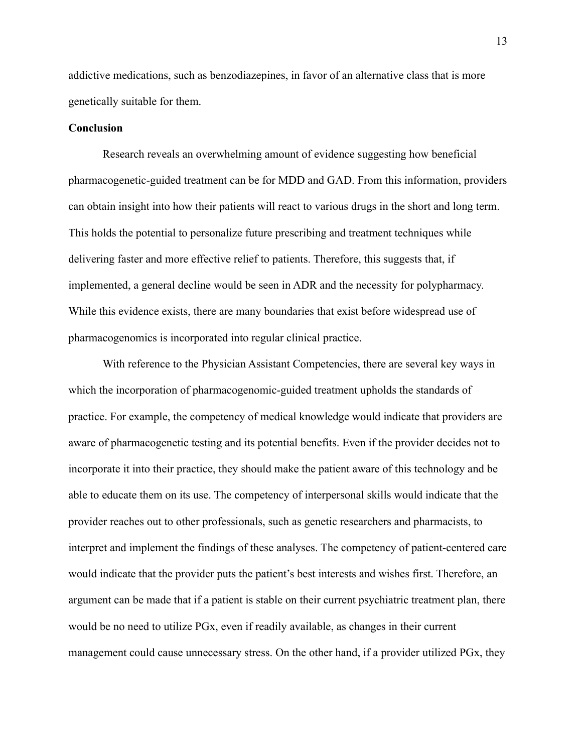addictive medications, such as benzodiazepines, in favor of an alternative class that is more genetically suitable for them.

#### **Conclusion**

Research reveals an overwhelming amount of evidence suggesting how beneficial pharmacogenetic-guided treatment can be for MDD and GAD. From this information, providers can obtain insight into how their patients will react to various drugs in the short and long term. This holds the potential to personalize future prescribing and treatment techniques while delivering faster and more effective relief to patients. Therefore, this suggests that, if implemented, a general decline would be seen in ADR and the necessity for polypharmacy. While this evidence exists, there are many boundaries that exist before widespread use of pharmacogenomics is incorporated into regular clinical practice.

With reference to the Physician Assistant Competencies, there are several key ways in which the incorporation of pharmacogenomic-guided treatment upholds the standards of practice. For example, the competency of medical knowledge would indicate that providers are aware of pharmacogenetic testing and its potential benefits. Even if the provider decides not to incorporate it into their practice, they should make the patient aware of this technology and be able to educate them on its use. The competency of interpersonal skills would indicate that the provider reaches out to other professionals, such as genetic researchers and pharmacists, to interpret and implement the findings of these analyses. The competency of patient-centered care would indicate that the provider puts the patient's best interests and wishes first. Therefore, an argument can be made that if a patient is stable on their current psychiatric treatment plan, there would be no need to utilize PGx, even if readily available, as changes in their current management could cause unnecessary stress. On the other hand, if a provider utilized PGx, they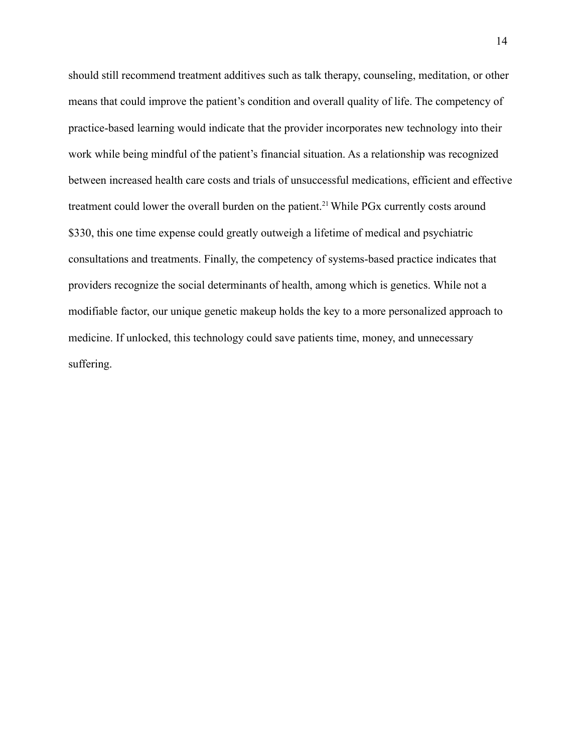should still recommend treatment additives such as talk therapy, counseling, meditation, or other means that could improve the patient's condition and overall quality of life. The competency of practice-based learning would indicate that the provider incorporates new technology into their work while being mindful of the patient's financial situation. As a relationship was recognized between increased health care costs and trials of unsuccessful medications, efficient and effective treatment could lower the overall burden on the patient.<sup>21</sup> While PGx currently costs around \$330, this one time expense could greatly outweigh a lifetime of medical and psychiatric consultations and treatments. Finally, the competency of systems-based practice indicates that providers recognize the social determinants of health, among which is genetics. While not a modifiable factor, our unique genetic makeup holds the key to a more personalized approach to medicine. If unlocked, this technology could save patients time, money, and unnecessary suffering.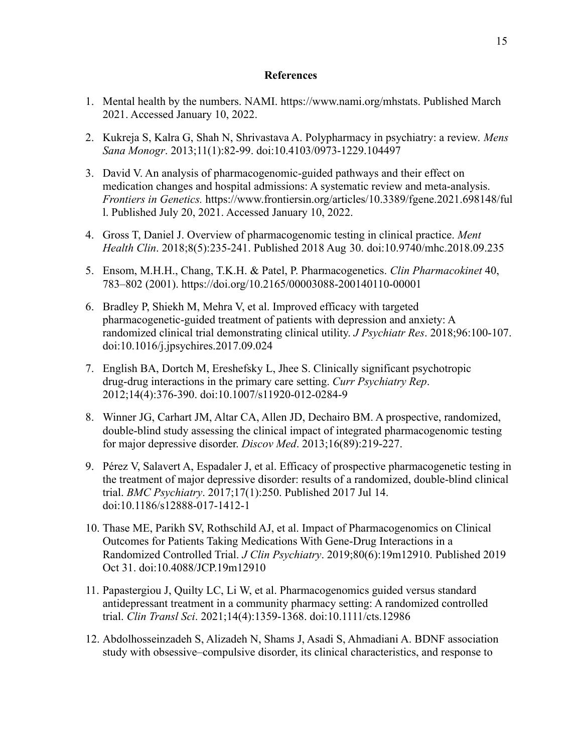#### **References**

- 1. Mental health by the numbers. NAMI. https://www.nami.org/mhstats. Published March 2021. Accessed January 10, 2022.
- 2. Kukreja S, Kalra G, Shah N, Shrivastava A. Polypharmacy in psychiatry: a review. *Mens Sana Monogr*. 2013;11(1):82-99. doi:10.4103/0973-1229.104497
- 3. David V. An analysis of pharmacogenomic-guided pathways and their effect on medication changes and hospital admissions: A systematic review and meta-analysis. *Frontiers in Genetics.* <https://www.frontiersin.org/articles/10.3389/fgene.2021.698148/ful> l. Published July 20, 2021. Accessed January 10, 2022.
- 4. Gross T, Daniel J. Overview of pharmacogenomic testing in clinical practice. *Ment Health Clin*. 2018;8(5):235-241. Published 2018 Aug 30. doi:10.9740/mhc.2018.09.235
- 5. Ensom, M.H.H., Chang, T.K.H. & Patel, P. Pharmacogenetics. *Clin Pharmacokinet* 40, 783–802 (2001). <https://doi.org/10.2165/00003088-200140110-00001>
- 6. Bradley P, Shiekh M, Mehra V, et al. Improved efficacy with targeted pharmacogenetic-guided treatment of patients with depression and anxiety: A randomized clinical trial demonstrating clinical utility. *J Psychiatr Res*. 2018;96:100-107. doi:10.1016/j.jpsychires.2017.09.024
- 7. English BA, Dortch M, Ereshefsky L, Jhee S. Clinically significant psychotropic drug-drug interactions in the primary care setting. *Curr Psychiatry Rep*. 2012;14(4):376-390. doi:10.1007/s11920-012-0284-9
- 8. Winner JG, Carhart JM, Altar CA, Allen JD, Dechairo BM. A prospective, randomized, double-blind study assessing the clinical impact of integrated pharmacogenomic testing for major depressive disorder. *Discov Med*. 2013;16(89):219-227.
- 9. Pérez V, Salavert A, Espadaler J, et al. Efficacy of prospective pharmacogenetic testing in the treatment of major depressive disorder: results of a randomized, double-blind clinical trial. *BMC Psychiatry*. 2017;17(1):250. Published 2017 Jul 14. doi:10.1186/s12888-017-1412-1
- 10. Thase ME, Parikh SV, Rothschild AJ, et al. Impact of Pharmacogenomics on Clinical Outcomes for Patients Taking Medications With Gene-Drug Interactions in a Randomized Controlled Trial. *J Clin Psychiatry*. 2019;80(6):19m12910. Published 2019 Oct 31. doi:10.4088/JCP.19m12910
- 11. Papastergiou J, Quilty LC, Li W, et al. Pharmacogenomics guided versus standard antidepressant treatment in a community pharmacy setting: A randomized controlled trial. *Clin Transl Sci*. 2021;14(4):1359-1368. doi:10.1111/cts.12986
- 12. Abdolhosseinzadeh S, Alizadeh N, Shams J, Asadi S, Ahmadiani A. BDNF association study with obsessive–compulsive disorder, its clinical characteristics, and response to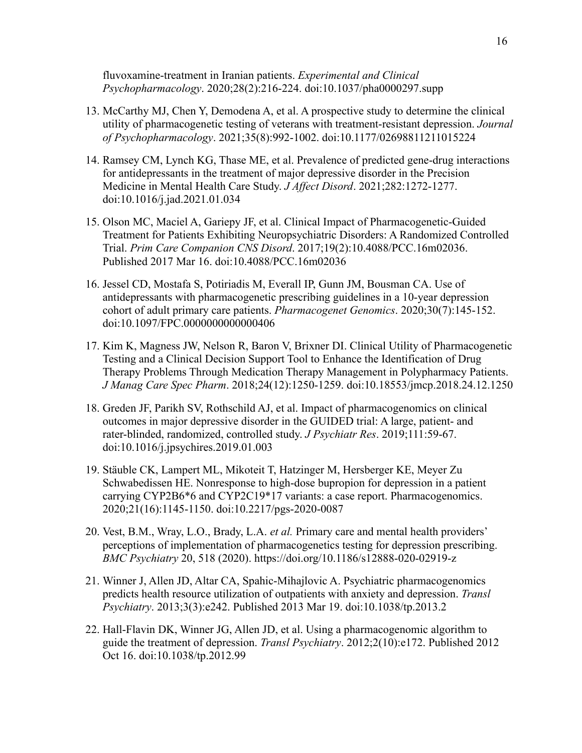fluvoxamine-treatment in Iranian patients. *Experimental and Clinical Psychopharmacology*. 2020;28(2):216-224. doi:10.1037/pha0000297.supp

- 13. McCarthy MJ, Chen Y, Demodena A, et al. A prospective study to determine the clinical utility of pharmacogenetic testing of veterans with treatment-resistant depression. *Journal of Psychopharmacology*. 2021;35(8):992-1002. doi:10.1177/02698811211015224
- 14. Ramsey CM, Lynch KG, Thase ME, et al. Prevalence of predicted gene-drug interactions for antidepressants in the treatment of major depressive disorder in the Precision Medicine in Mental Health Care Study. *J Affect Disord*. 2021;282:1272-1277. doi:10.1016/j.jad.2021.01.034
- 15. Olson MC, Maciel A, Gariepy JF, et al. Clinical Impact of Pharmacogenetic-Guided Treatment for Patients Exhibiting Neuropsychiatric Disorders: A Randomized Controlled Trial. *Prim Care Companion CNS Disord*. 2017;19(2):10.4088/PCC.16m02036. Published 2017 Mar 16. doi:10.4088/PCC.16m02036
- 16. Jessel CD, Mostafa S, Potiriadis M, Everall IP, Gunn JM, Bousman CA. Use of antidepressants with pharmacogenetic prescribing guidelines in a 10-year depression cohort of adult primary care patients. *Pharmacogenet Genomics*. 2020;30(7):145-152. doi:10.1097/FPC.0000000000000406
- 17. Kim K, Magness JW, Nelson R, Baron V, Brixner DI. Clinical Utility of Pharmacogenetic Testing and a Clinical Decision Support Tool to Enhance the Identification of Drug Therapy Problems Through Medication Therapy Management in Polypharmacy Patients. *J Manag Care Spec Pharm*. 2018;24(12):1250-1259. doi:10.18553/jmcp.2018.24.12.1250
- 18. Greden JF, Parikh SV, Rothschild AJ, et al. Impact of pharmacogenomics on clinical outcomes in major depressive disorder in the GUIDED trial: A large, patient- and rater-blinded, randomized, controlled study. *J Psychiatr Res*. 2019;111:59-67. doi:10.1016/j.jpsychires.2019.01.003
- 19. Stäuble CK, Lampert ML, Mikoteit T, Hatzinger M, Hersberger KE, Meyer Zu Schwabedissen HE. Nonresponse to high-dose bupropion for depression in a patient carrying CYP2B6\*6 and CYP2C19\*17 variants: a case report. Pharmacogenomics. 2020;21(16):1145-1150. doi:10.2217/pgs-2020-0087
- 20. Vest, B.M., Wray, L.O., Brady, L.A. *et al.* Primary care and mental health providers' perceptions of implementation of pharmacogenetics testing for depression prescribing. *BMC Psychiatry* 20, 518 (2020). https://doi.org/10.1186/s12888-020-02919-z
- 21. Winner J, Allen JD, Altar CA, Spahic-Mihajlovic A. Psychiatric pharmacogenomics predicts health resource utilization of outpatients with anxiety and depression. *Transl Psychiatry*. 2013;3(3):e242. Published 2013 Mar 19. doi:10.1038/tp.2013.2
- 22. Hall-Flavin DK, Winner JG, Allen JD, et al. Using a pharmacogenomic algorithm to guide the treatment of depression. *Transl Psychiatry*. 2012;2(10):e172. Published 2012 Oct 16. doi:10.1038/tp.2012.99